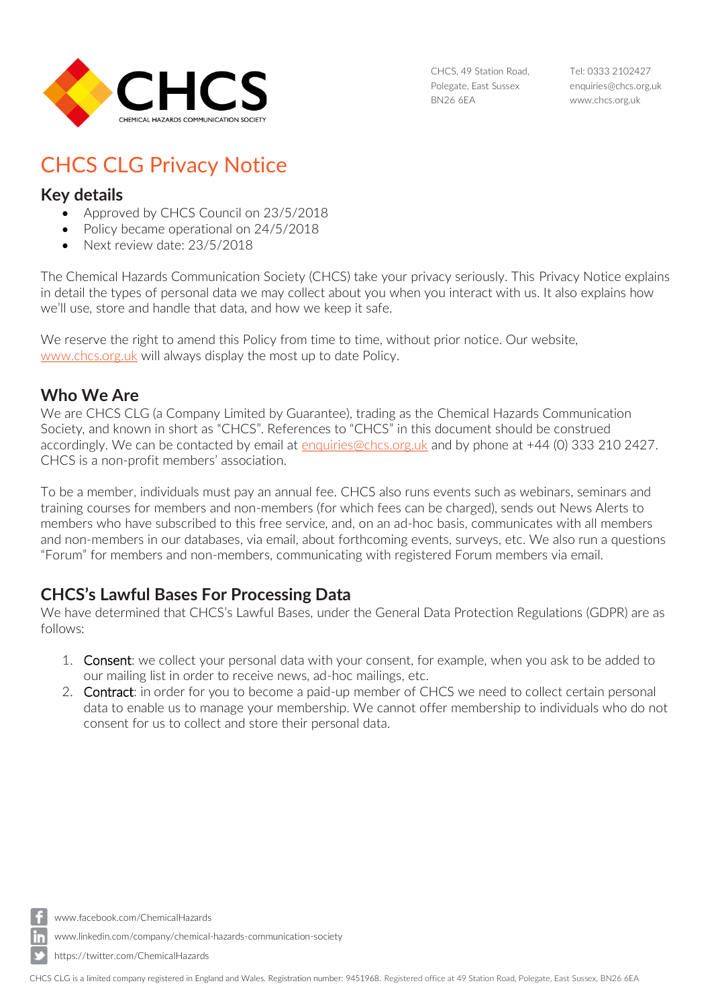

CHCS, 49 Station Road, Polegate, East Sussex BN26 6EA

Tel: 0333 2102427 [enquiries@chcs.org.uk](mailto:enquiries@chcs.org.uk) [www.chcs.org.uk](http://www.chcs.org.uk/)

# CHCS CLG Privacy Notice

#### **Key details**

- Approved by CHCS Council on 23/5/2018
- Policy became operational on 24/5/2018
- Next review date: 23/5/2018

The Chemical Hazards Communication Society (CHCS) take your privacy seriously. This Privacy Notice explains in detail the types of personal data we may collect about you when you interact with us. It also explains how we'll use, store and handle that data, and how we keep it safe.

We reserve the right to amend this Policy from time to time, without prior notice. Our website, [www.chcs.org.uk](http://www.chcs.org.uk/) will always display the most up to date Policy.

## **Who We Are**

We are CHCS CLG (a Company Limited by Guarantee), trading as the Chemical Hazards Communication Society, and known in short as "CHCS". References to "CHCS" in this document should be construed accordingly. We can be contacted by email at [enquiries@chcs.org.uk](mailto:enquiries@chcs.org.uk) and by phone at +44 (0) 333 210 2427. CHCS is a non-profit members' association.

To be a member, individuals must pay an annual fee. CHCS also runs events such as webinars, seminars and training courses for members and non-members (for which fees can be charged), sends out News Alerts to members who have subscribed to this free service, and, on an ad-hoc basis, communicates with all members and non-members in our databases, via email, about forthcoming events, surveys, etc. We also run a questions "Forum" for members and non-members, communicating with registered Forum members via email.

# **CHCS's Lawful Bases For Processing Data**

We have determined that CHCS's Lawful Bases, under the General Data Protection Regulations (GDPR) are as follows:

- 1. Consent: we collect your personal data with your consent, for example, when you ask to be added to our mailing list in order to receive news, ad-hoc mailings, etc.
- 2. Contract: in order for you to become a paid-up member of CHCS we need to collect certain personal data to enable us to manage your membership. We cannot offer membership to individuals who do not consent for us to collect and store their personal data.

[www.facebook.com/ChemicalHazards](http://www.facebook.com/ChemicalHazards)

[www.linkedin.com/company/chemical-hazards-communication-society](http://www.linkedin.com/company/chemical-hazards-communication-society)

https://twitter.com/ChemicalHazards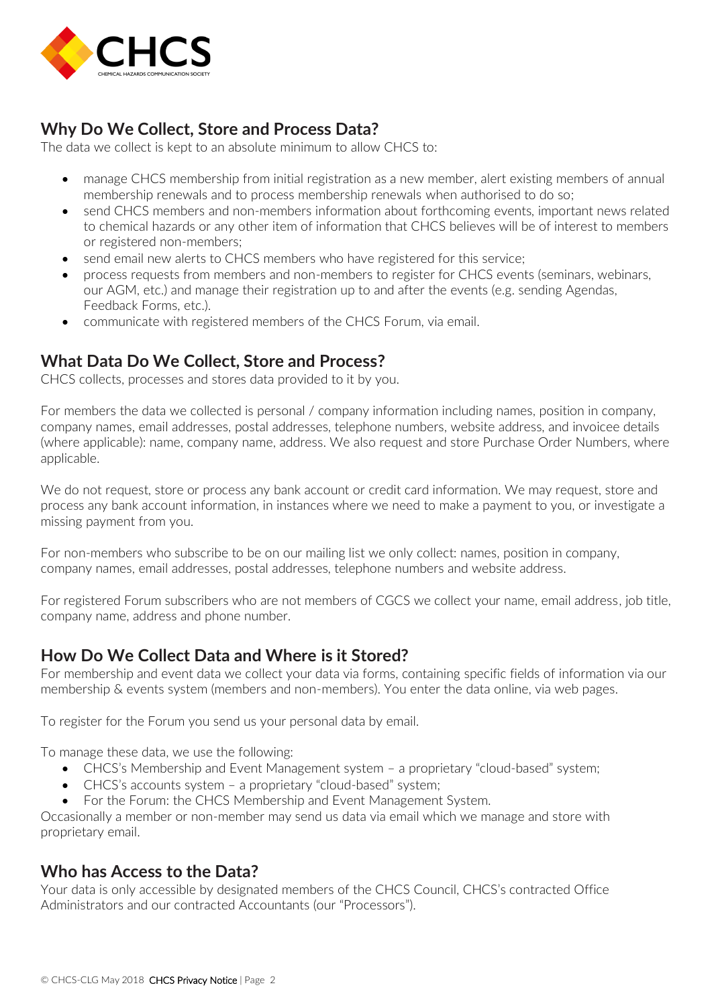

# **Why Do We Collect, Store and Process Data?**

The data we collect is kept to an absolute minimum to allow CHCS to:

- manage CHCS membership from initial registration as a new member, alert existing members of annual membership renewals and to process membership renewals when authorised to do so;
- send CHCS members and non-members information about forthcoming events, important news related to chemical hazards or any other item of information that CHCS believes will be of interest to members or registered non-members;
- send email new alerts to CHCS members who have registered for this service;
- process requests from members and non-members to register for CHCS events (seminars, webinars, our AGM, etc.) and manage their registration up to and after the events (e.g. sending Agendas, Feedback Forms, etc.).
- communicate with registered members of the CHCS Forum, via email.

## **What Data Do We Collect, Store and Process?**

CHCS collects, processes and stores data provided to it by you.

For members the data we collected is personal / company information including names, position in company, company names, email addresses, postal addresses, telephone numbers, website address, and invoicee details (where applicable): name, company name, address. We also request and store Purchase Order Numbers, where applicable.

We do not request, store or process any bank account or credit card information. We may request, store and process any bank account information, in instances where we need to make a payment to you, or investigate a missing payment from you.

For non-members who subscribe to be on our mailing list we only collect: names, position in company, company names, email addresses, postal addresses, telephone numbers and website address.

For registered Forum subscribers who are not members of CGCS we collect your name, email address, job title, company name, address and phone number.

#### **How Do We Collect Data and Where is it Stored?**

For membership and event data we collect your data via forms, containing specific fields of information via our membership & events system (members and non-members). You enter the data online, via web pages.

To register for the Forum you send us your personal data by email.

To manage these data, we use the following:

- CHCS's Membership and Event Management system a proprietary "cloud-based" system;
- CHCS's accounts system a proprietary "cloud-based" system;
- For the Forum: the CHCS Membership and Event Management System.

Occasionally a member or non-member may send us data via email which we manage and store with proprietary email.

#### **Who has Access to the Data?**

Your data is only accessible by designated members of the CHCS Council, CHCS's contracted Office Administrators and our contracted Accountants (our "Processors").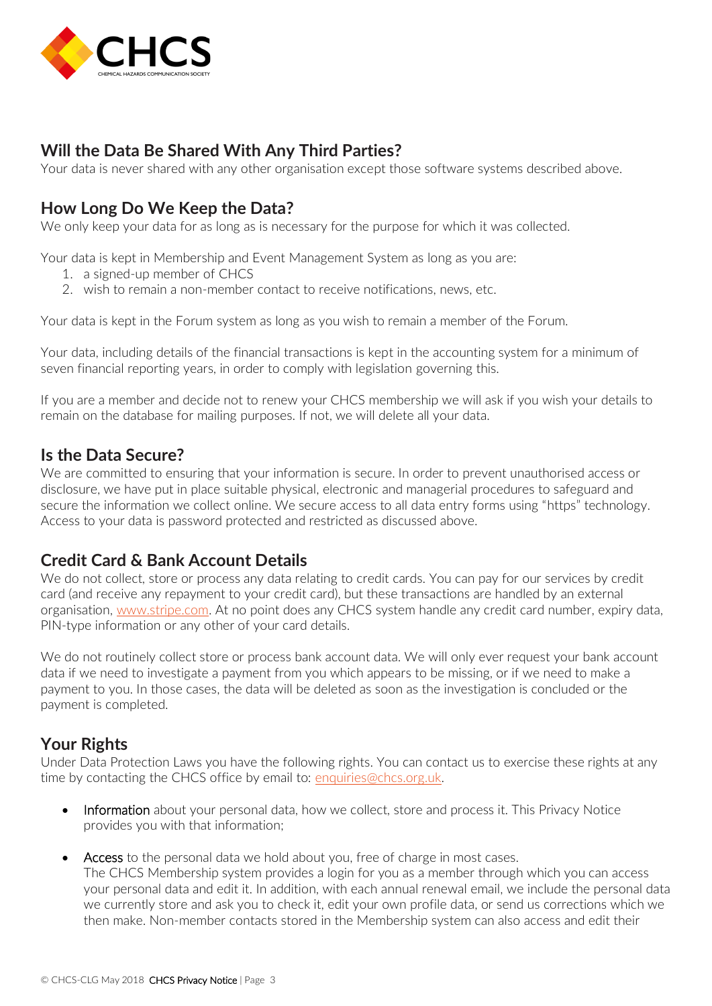

# **Will the Data Be Shared With Any Third Parties?**

Your data is never shared with any other organisation except those software systems described above.

## **How Long Do We Keep the Data?**

We only keep your data for as long as is necessary for the purpose for which it was collected.

Your data is kept in Membership and Event Management System as long as you are:

- 1. a signed-up member of CHCS
- 2. wish to remain a non-member contact to receive notifications, news, etc.

Your data is kept in the Forum system as long as you wish to remain a member of the Forum.

Your data, including details of the financial transactions is kept in the accounting system for a minimum of seven financial reporting years, in order to comply with legislation governing this.

If you are a member and decide not to renew your CHCS membership we will ask if you wish your details to remain on the database for mailing purposes. If not, we will delete all your data.

#### **Is the Data Secure?**

We are committed to ensuring that your information is secure. In order to prevent unauthorised access or disclosure, we have put in place suitable physical, electronic and managerial procedures to safeguard and secure the information we collect online. We secure access to all data entry forms using "https" technology. Access to your data is password protected and restricted as discussed above.

#### **Credit Card & Bank Account Details**

We do not collect, store or process any data relating to credit cards. You can pay for our services by credit card (and receive any repayment to your credit card), but these transactions are handled by an external organisation, [www.stripe.com.](http://www.stripe.com/) At no point does any CHCS system handle any credit card number, expiry data, PIN-type information or any other of your card details.

We do not routinely collect store or process bank account data. We will only ever request your bank account data if we need to investigate a payment from you which appears to be missing, or if we need to make a payment to you. In those cases, the data will be deleted as soon as the investigation is concluded or the payment is completed.

#### **Your Rights**

Under Data Protection Laws you have the following rights. You can contact us to exercise these rights at any time by contacting the CHCS office by email to: [enquiries@chcs.org.uk.](mailto:enquiries@chcs.org.uk)

- Information about your personal data, how we collect, store and process it. This Privacy Notice provides you with that information;
- Access to the personal data we hold about you, free of charge in most cases. The CHCS Membership system provides a login for you as a member through which you can access your personal data and edit it. In addition, with each annual renewal email, we include the personal data we currently store and ask you to check it, edit your own profile data, or send us corrections which we then make. Non-member contacts stored in the Membership system can also access and edit their